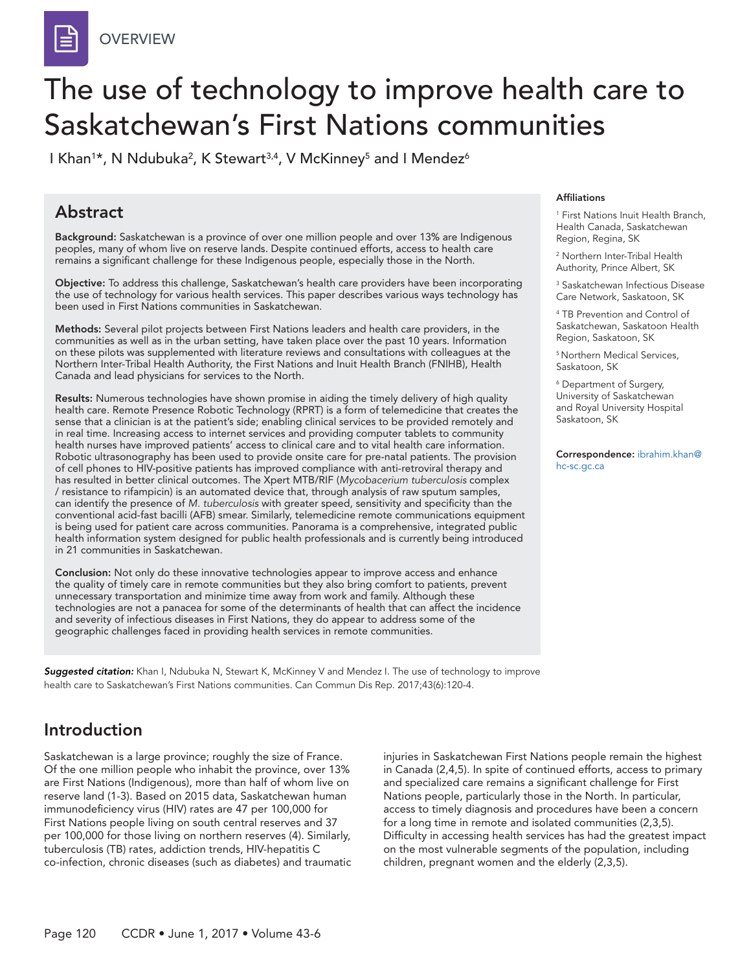# The use of technology to improve health care to Saskatchewan's First Nations communities

I Khan<sup>1\*</sup>, N Ndubuka<sup>2</sup>, K Stewart<sup>3,4</sup>, V McKinney<sup>5</sup> and I Mendez<sup>6</sup>

### Abstract

Background: Saskatchewan is a province of over one million people and over 13% are Indigenous peoples, many of whom live on reserve lands. Despite continued efforts, access to health care remains a significant challenge for these Indigenous people, especially those in the North.

Objective: To address this challenge, Saskatchewan's health care providers have been incorporating the use of technology for various health services. This paper describes various ways technology has been used in First Nations communities in Saskatchewan.

Methods: Several pilot projects between First Nations leaders and health care providers, in the communities as well as in the urban setting, have taken place over the past 10 years. Information on these pilots was supplemented with literature reviews and consultations with colleagues at the Northern Inter-Tribal Health Authority, the First Nations and Inuit Health Branch (FNIHB), Health Canada and lead physicians for services to the North.

Results: Numerous technologies have shown promise in aiding the timely delivery of high quality health care. Remote Presence Robotic Technology (RPRT) is a form of telemedicine that creates the sense that a clinician is at the patient's side; enabling clinical services to be provided remotely and in real time. Increasing access to internet services and providing computer tablets to community health nurses have improved patients' access to clinical care and to vital health care information. Robotic ultrasonography has been used to provide onsite care for pre-natal patients. The provision of cell phones to HIV-positive patients has improved compliance with anti-retroviral therapy and has resulted in better clinical outcomes. The Xpert MTB/RIF (*Mycobacerium tuberculosis* complex / resistance to rifampicin) is an automated device that, through analysis of raw sputum samples, can identify the presence of *M. tuberculosis* with greater speed, sensitivity and specificity than the conventional acid-fast bacilli (AFB) smear. Similarly, telemedicine remote communications equipment is being used for patient care across communities. Panorama is a comprehensive, integrated public health information system designed for public health professionals and is currently being introduced in 21 communities in Saskatchewan.

Conclusion: Not only do these innovative technologies appear to improve access and enhance the quality of timely care in remote communities but they also bring comfort to patients, prevent unnecessary transportation and minimize time away from work and family. Although these technologies are not a panacea for some of the determinants of health that can affect the incidence and severity of infectious diseases in First Nations, they do appear to address some of the geographic challenges faced in providing health services in remote communities.

*Suggested citation:* Khan I, Ndubuka N, Stewart K, McKinney V and Mendez I. The use of technology to improve health care to Saskatchewan's First Nations communities. Can Commun Dis Rep. 2017;43(6):120-4.

#### Affiliations

1 First Nations Inuit Health Branch, Health Canada, Saskatchewan Region, Regina, SK

2 Northern Inter-Tribal Health Authority, Prince Albert, SK

3 Saskatchewan Infectious Disease Care Network, Saskatoon, SK

4 TB Prevention and Control of Saskatchewan, Saskatoon Health Region, Saskatoon, SK

5 Northern Medical Services, Saskatoon, SK

6 Department of Surgery, University of Saskatchewan and Royal University Hospital Saskatoon, SK

Correspondence: ibrahim.khan@ hc-sc.gc.ca

## Introduction

Saskatchewan is a large province; roughly the size of France. Of the one million people who inhabit the province, over 13% are First Nations (Indigenous), more than half of whom live on reserve land (1-3). Based on 2015 data, Saskatchewan human immunodeficiency virus (HIV) rates are 47 per 100,000 for First Nations people living on south central reserves and 37 per 100,000 for those living on northern reserves (4). Similarly, tuberculosis (TB) rates, addiction trends, HIV-hepatitis C co-infection, chronic diseases (such as diabetes) and traumatic injuries in Saskatchewan First Nations people remain the highest in Canada (2,4,5). In spite of continued efforts, access to primary and specialized care remains a significant challenge for First Nations people, particularly those in the North. In particular, access to timely diagnosis and procedures have been a concern for a long time in remote and isolated communities (2,3,5). Difficulty in accessing health services has had the greatest impact on the most vulnerable segments of the population, including children, pregnant women and the elderly (2,3,5).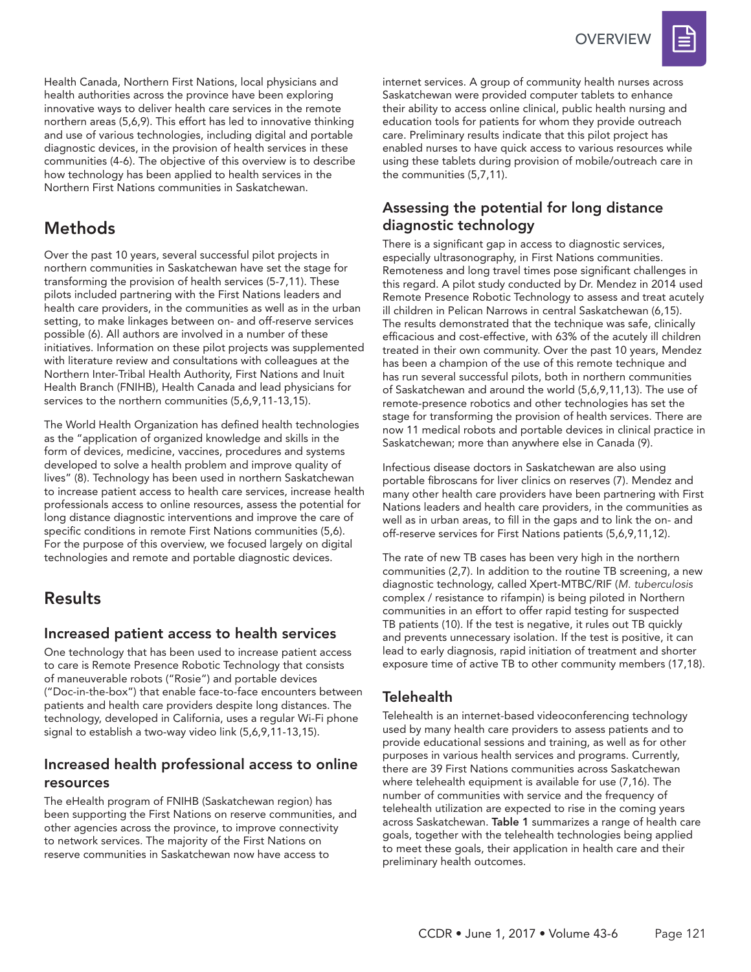

Health Canada, Northern First Nations, local physicians and health authorities across the province have been exploring innovative ways to deliver health care services in the remote northern areas (5,6,9). This effort has led to innovative thinking and use of various technologies, including digital and portable diagnostic devices, in the provision of health services in these communities (4-6). The objective of this overview is to describe how technology has been applied to health services in the Northern First Nations communities in Saskatchewan.

## Methods

Over the past 10 years, several successful pilot projects in northern communities in Saskatchewan have set the stage for transforming the provision of health services (5-7,11). These pilots included partnering with the First Nations leaders and health care providers, in the communities as well as in the urban setting, to make linkages between on- and off-reserve services possible (6). All authors are involved in a number of these initiatives. Information on these pilot projects was supplemented with literature review and consultations with colleagues at the Northern Inter-Tribal Health Authority, First Nations and Inuit Health Branch (FNIHB), Health Canada and lead physicians for services to the northern communities (5,6,9,11-13,15).

The World Health Organization has defined health technologies as the "application of organized knowledge and skills in the form of devices, medicine, vaccines, procedures and systems developed to solve a health problem and improve quality of lives" (8). Technology has been used in northern Saskatchewan to increase patient access to health care services, increase health professionals access to online resources, assess the potential for long distance diagnostic interventions and improve the care of specific conditions in remote First Nations communities (5,6). For the purpose of this overview, we focused largely on digital technologies and remote and portable diagnostic devices.

### Results

#### Increased patient access to health services

One technology that has been used to increase patient access to care is Remote Presence Robotic Technology that consists of maneuverable robots ("Rosie") and portable devices ("Doc-in-the-box") that enable face-to-face encounters between patients and health care providers despite long distances. The technology, developed in California, uses a regular Wi-Fi phone signal to establish a two-way video link (5,6,9,11-13,15).

#### Increased health professional access to online resources

The eHealth program of FNIHB (Saskatchewan region) has been supporting the First Nations on reserve communities, and other agencies across the province, to improve connectivity to network services. The majority of the First Nations on reserve communities in Saskatchewan now have access to

internet services. A group of community health nurses across Saskatchewan were provided computer tablets to enhance their ability to access online clinical, public health nursing and education tools for patients for whom they provide outreach care. Preliminary results indicate that this pilot project has enabled nurses to have quick access to various resources while using these tablets during provision of mobile/outreach care in the communities (5,7,11).

#### Assessing the potential for long distance diagnostic technology

There is a significant gap in access to diagnostic services, especially ultrasonography, in First Nations communities. Remoteness and long travel times pose significant challenges in this regard. A pilot study conducted by Dr. Mendez in 2014 used Remote Presence Robotic Technology to assess and treat acutely ill children in Pelican Narrows in central Saskatchewan (6,15). The results demonstrated that the technique was safe, clinically efficacious and cost-effective, with 63% of the acutely ill children treated in their own community. Over the past 10 years, Mendez has been a champion of the use of this remote technique and has run several successful pilots, both in northern communities of Saskatchewan and around the world (5,6,9,11,13). The use of remote-presence robotics and other technologies has set the stage for transforming the provision of health services. There are now 11 medical robots and portable devices in clinical practice in Saskatchewan; more than anywhere else in Canada (9).

Infectious disease doctors in Saskatchewan are also using portable fibroscans for liver clinics on reserves (7). Mendez and many other health care providers have been partnering with First Nations leaders and health care providers, in the communities as well as in urban areas, to fill in the gaps and to link the on- and off-reserve services for First Nations patients (5,6,9,11,12).

The rate of new TB cases has been very high in the northern communities (2,7). In addition to the routine TB screening, a new diagnostic technology, called Xpert-MTBC/RIF (*M. tuberculosis*  complex / resistance to rifampin) is being piloted in Northern communities in an effort to offer rapid testing for suspected TB patients (10). If the test is negative, it rules out TB quickly and prevents unnecessary isolation. If the test is positive, it can lead to early diagnosis, rapid initiation of treatment and shorter exposure time of active TB to other community members (17,18).

#### Telehealth

Telehealth is an internet-based videoconferencing technology used by many health care providers to assess patients and to provide educational sessions and training, as well as for other purposes in various health services and programs. Currently, there are 39 First Nations communities across Saskatchewan where telehealth equipment is available for use (7,16). The number of communities with service and the frequency of telehealth utilization are expected to rise in the coming years across Saskatchewan. Table 1 summarizes a range of health care goals, together with the telehealth technologies being applied to meet these goals, their application in health care and their preliminary health outcomes.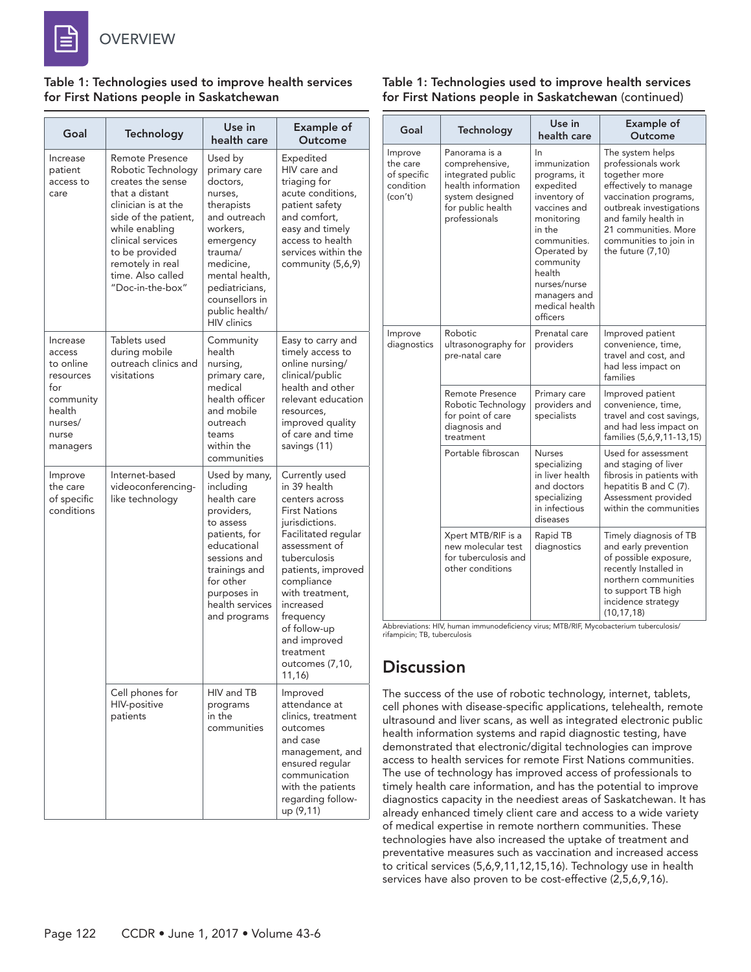

#### **OVERVIEW**

#### Table 1: Technologies used to improve health services for First Nations people in Saskatchewan

| Goal                                                                                                       | Technology                                                                                                                                                                                                                                               | Use in<br>health care                                                                                                                                                                                                       | <b>Example of</b><br>Outcome                                                                                                                                                                                                                                                                                  |
|------------------------------------------------------------------------------------------------------------|----------------------------------------------------------------------------------------------------------------------------------------------------------------------------------------------------------------------------------------------------------|-----------------------------------------------------------------------------------------------------------------------------------------------------------------------------------------------------------------------------|---------------------------------------------------------------------------------------------------------------------------------------------------------------------------------------------------------------------------------------------------------------------------------------------------------------|
| Increase<br>patient<br>access to<br>care                                                                   | <b>Remote Presence</b><br>Robotic Technology<br>creates the sense<br>that a distant<br>clinician is at the<br>side of the patient,<br>while enabling<br>clinical services<br>to be provided<br>remotely in real<br>time. Also called<br>"Doc-in-the-box" | Used by<br>primary care<br>doctors,<br>nurses,<br>therapists<br>and outreach<br>workers,<br>emergency<br>trauma/<br>medicine,<br>mental health,<br>pediatricians,<br>counsellors in<br>public health/<br><b>HIV</b> clinics | Expedited<br>HIV care and<br>triaging for<br>acute conditions,<br>patient safety<br>and comfort,<br>easy and timely<br>access to health<br>services within the<br>community (5,6,9)                                                                                                                           |
| Increase<br>access<br>to online<br>resources<br>for<br>community<br>health<br>nurses/<br>nurse<br>managers | Tablets used<br>during mobile<br>outreach clinics and<br>visitations                                                                                                                                                                                     | Community<br>health<br>nursing,<br>primary care,<br>medical<br>health officer<br>and mobile<br>outreach<br>teams<br>within the<br>communities                                                                               | Easy to carry and<br>timely access to<br>online nursing/<br>clinical/public<br>health and other<br>relevant education<br>resources,<br>improved quality<br>of care and time<br>savings (11)                                                                                                                   |
| Improve<br>the care<br>of specific<br>conditions                                                           | Internet-based<br>videoconferencing-<br>like technology                                                                                                                                                                                                  | Used by many,<br>including<br>health care<br>providers,<br>to assess<br>patients, for<br>educational<br>sessions and<br>trainings and<br>for other<br>purposes in<br>health services<br>and programs                        | Currently used<br>in 39 health<br>centers across<br><b>First Nations</b><br>jurisdictions.<br>Facilitated regular<br>assessment of<br>tuberculosis<br>patients, improved<br>compliance<br>with treatment.<br>increased<br>frequency<br>of follow-up<br>and improved<br>treatment<br>outcomes (7,10,<br>11,16) |
|                                                                                                            | Cell phones for<br>HIV-positive<br>patients                                                                                                                                                                                                              | HIV and TB<br>programs<br>in the<br>communities                                                                                                                                                                             | Improved<br>attendance at<br>clinics, treatment<br>outcomes<br>and case<br>management, and<br>ensured regular<br>communication<br>with the patients<br>regarding follow-<br>up (9,11)                                                                                                                         |

#### Table 1: Technologies used to improve health services for First Nations people in Saskatchewan (continued)

| Goal                                                       | Technology                                                                                                                          | Use in<br>health care                                                                                                                                                                                                       | <b>Example of</b><br>Outcome                                                                                                                                                                                                        |
|------------------------------------------------------------|-------------------------------------------------------------------------------------------------------------------------------------|-----------------------------------------------------------------------------------------------------------------------------------------------------------------------------------------------------------------------------|-------------------------------------------------------------------------------------------------------------------------------------------------------------------------------------------------------------------------------------|
| Improve<br>the care<br>of specific<br>condition<br>(con't) | Panorama is a<br>comprehensive,<br>integrated public<br>health information<br>system designed<br>for public health<br>professionals | In<br>immunization<br>programs, it<br>expedited<br>inventory of<br>vaccines and<br>monitoring<br>in the<br>communities.<br>Operated by<br>community<br>health<br>nurses/nurse<br>managers and<br>medical health<br>officers | The system helps<br>professionals work<br>together more<br>effectively to manage<br>vaccination programs,<br>outbreak investigations<br>and family health in<br>21 communities. More<br>communities to join in<br>the future (7,10) |
| Improve<br>diagnostics                                     | Robotic<br>ultrasonography for<br>pre-natal care                                                                                    | Prenatal care<br>providers                                                                                                                                                                                                  | Improved patient<br>convenience, time,<br>travel and cost, and<br>had less impact on<br>families                                                                                                                                    |
|                                                            | Remote Presence<br>Robotic Technology<br>for point of care<br>diagnosis and<br>treatment                                            | Primary care<br>providers and<br>specialists                                                                                                                                                                                | Improved patient<br>convenience, time,<br>travel and cost savings,<br>and had less impact on<br>families (5,6,9,11-13,15)                                                                                                           |
|                                                            | Portable fibroscan                                                                                                                  | <b>Nurses</b><br>specializing<br>in liver health<br>and doctors<br>specializing<br>in infectious<br>diseases                                                                                                                | Used for assessment<br>and staging of liver<br>fibrosis in patients with<br>hepatitis B and C (7).<br>Assessment provided<br>within the communities                                                                                 |
|                                                            | Xpert MTB/RIF is a<br>new molecular test<br>for tuberculosis and<br>other conditions                                                | Rapid TB<br>diagnostics                                                                                                                                                                                                     | Timely diagnosis of TB<br>and early prevention<br>of possible exposure,<br>recently Installed in<br>northern communities<br>to support TB high<br>incidence strategy<br>(10, 17, 18)                                                |

Abbreviations: HIV, human immunodeficiency virus; MTB/RIF, Mycobacterium tuberculosis/ rifampicin; TB, tuberculosis

## **Discussion**

The success of the use of robotic technology, internet, tablets, cell phones with disease-specific applications, telehealth, remote ultrasound and liver scans, as well as integrated electronic public health information systems and rapid diagnostic testing, have demonstrated that electronic/digital technologies can improve access to health services for remote First Nations communities. The use of technology has improved access of professionals to timely health care information, and has the potential to improve diagnostics capacity in the neediest areas of Saskatchewan. It has already enhanced timely client care and access to a wide variety of medical expertise in remote northern communities. These technologies have also increased the uptake of treatment and preventative measures such as vaccination and increased access to critical services (5,6,9,11,12,15,16). Technology use in health services have also proven to be cost-effective (2,5,6,9,16).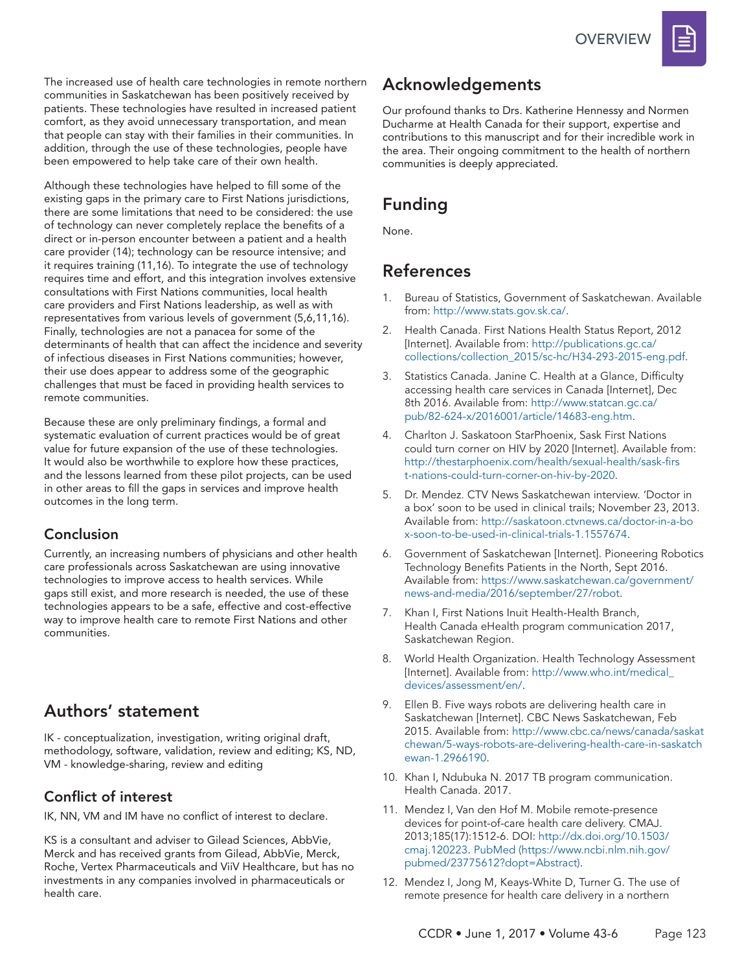The increased use of health care technologies in remote northern communities in Saskatchewan has been positively received by patients. These technologies have resulted in increased patient comfort, as they avoid unnecessary transportation, and mean that people can stay with their families in their communities. In addition, through the use of these technologies, people have been empowered to help take care of their own health.

Although these technologies have helped to fill some of the existing gaps in the primary care to First Nations jurisdictions, there are some limitations that need to be considered: the use of technology can never completely replace the benefits of a direct or in-person encounter between a patient and a health care provider (14); technology can be resource intensive; and it requires training (11,16). To integrate the use of technology requires time and effort, and this integration involves extensive consultations with First Nations communities, local health care providers and First Nations leadership, as well as with representatives from various levels of government (5,6,11,16). Finally, technologies are not a panacea for some of the determinants of health that can affect the incidence and severity of infectious diseases in First Nations communities; however, their use does appear to address some of the geographic challenges that must be faced in providing health services to remote communities.

Because these are only preliminary findings, a formal and systematic evaluation of current practices would be of great value for future expansion of the use of these technologies. It would also be worthwhile to explore how these practices, and the lessons learned from these pilot projects, can be used in other areas to fill the gaps in services and improve health outcomes in the long term.

#### Conclusion

Currently, an increasing numbers of physicians and other health care professionals across Saskatchewan are using innovative technologies to improve access to health services. While gaps still exist, and more research is needed, the use of these technologies appears to be a safe, effective and cost-effective way to improve health care to remote First Nations and other communities.

## Authors' statement

IK - conceptualization, investigation, writing original draft, methodology, software, validation, review and editing; KS, ND, VM - knowledge-sharing, review and editing

#### Conflict of interest

IK, NN, VM and IM have no conflict of interest to declare.

KS is a consultant and adviser to Gilead Sciences, AbbVie, Merck and has received grants from Gilead, AbbVie, Merck, Roche, Vertex Pharmaceuticals and ViiV Healthcare, but has no investments in any companies involved in pharmaceuticals or health care.

## Acknowledgements

Our profound thanks to Drs. Katherine Hennessy and Normen Ducharme at Health Canada for their support, expertise and contributions to this manuscript and for their incredible work in the area. Their ongoing commitment to the health of northern communities is deeply appreciated.

## Funding

None.

## References

- 1. Bureau of Statistics, Government of Saskatchewan. Available from: http://www.stats.gov.sk.ca/.
- 2. Health Canada. First Nations Health Status Report, 2012 [Internet]. Available from: http://publications.gc.ca/ collections/collection\_2015/sc-hc/H34-293-2015-eng.pdf.
- 3. Statistics Canada. Janine C. Health at a Glance, Difficulty accessing health care services in Canada [Internet], Dec 8th 2016. Available from: http://www.statcan.gc.ca/ pub/82-624-x/2016001/article/14683-eng.htm.
- 4. Charlton J. Saskatoon StarPhoenix, Sask First Nations could turn corner on HIV by 2020 [Internet]. Available from: http://thestarphoenix.com/health/sexual-health/sask-firs t-nations-could-turn-corner-on-hiv-by-2020.
- 5. Dr. Mendez. CTV News Saskatchewan interview. 'Doctor in a box' soon to be used in clinical trails; November 23, 2013. Available from: http://saskatoon.ctvnews.ca/doctor-in-a-bo x-soon-to-be-used-in-clinical-trials-1.1557674.
- 6. Government of Saskatchewan [Internet]. Pioneering Robotics Technology Benefits Patients in the North, Sept 2016. Available from: https://www.saskatchewan.ca/government/ news-and-media/2016/september/27/robot.
- 7. Khan I, First Nations Inuit Health-Health Branch, Health Canada eHealth program communication 2017, Saskatchewan Region.
- 8. World Health Organization. Health Technology Assessment [Internet]. Available from: http://www.who.int/medical\_ devices/assessment/en/.
- 9. Ellen B. Five ways robots are delivering health care in Saskatchewan [Internet]. CBC News Saskatchewan, Feb 2015. Available from: http://www.cbc.ca/news/canada/saskat chewan/5-ways-robots-are-delivering-health-care-in-saskatch ewan-1.2966190.
- 10. Khan I, Ndubuka N. 2017 TB program communication. Health Canada. 2017.
- 11. Mendez I, Van den Hof M. Mobile remote-presence devices for point-of-care health care delivery. CMAJ. 2013;185(17):1512-6. DOI: http://dx.doi.org/10.1503/ cmaj.120223. PubMed (https://www.ncbi.nlm.nih.gov/ pubmed/23775612?dopt=Abstract).
- 12. Mendez I, Jong M, Keays-White D, Turner G. The use of remote presence for health care delivery in a northern